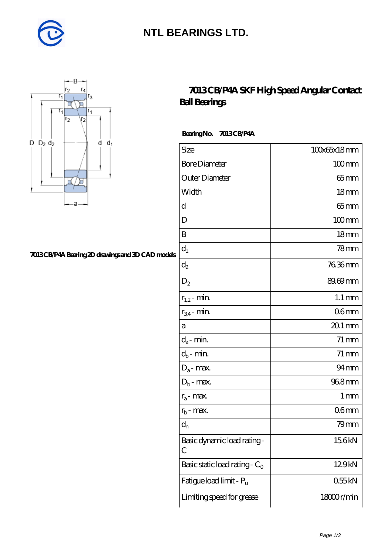

### **[NTL BEARINGS LTD.](https://m.diabetesfriends.net)**



#### **[7013 CB/P4A Bearing 2D drawings and 3D CAD models](https://m.diabetesfriends.net/pic-590733.html)**

### **[7013 CB/P4A SKF High Speed Angular Contact](https://m.diabetesfriends.net/skf-bearing/7013-cb-p4a.html) [Ball Bearings](https://m.diabetesfriends.net/skf-bearing/7013-cb-p4a.html)**

 **Bearing No. 7013 CB/P4A**

| Size                             | 100x65x18mm         |
|----------------------------------|---------------------|
| <b>Bore Diameter</b>             | $100$ mm            |
| Outer Diameter                   | 65 mm               |
| Width                            | 18mm                |
| d                                | $65 \text{mm}$      |
| D                                | $100$ mm            |
| B                                | 18 <sub>mm</sub>    |
| $d_1$                            | 78 <sub>mm</sub>    |
| $\mathrm{d}_2$                   | 7636mm              |
| $D_2$                            | 89.69mm             |
| $r_{1,2}$ - min.                 | $1.1 \,\mathrm{mm}$ |
| $r_{34}$ - min.                  | 06 <sub>mm</sub>    |
| a                                | $201$ mm            |
| $d_a$ - min.                     | $71 \,\mathrm{mm}$  |
| $d_b$ - min.                     | $71 \,\mathrm{mm}$  |
| $D_a$ - max.                     | $94 \text{mm}$      |
| $D_b$ - max.                     | 968mm               |
| $r_a$ - max.                     | $1 \,\mathrm{mm}$   |
| $r_{b}$ - max.                   | 06 <sub>mm</sub>    |
| $d_{n}$                          | 79mm                |
| Basic dynamic load rating-<br>С  | 15.6kN              |
| Basic static load rating - $C_0$ | 129kN               |
| Fatigue load limit - Pu          | 055kN               |
| Limiting speed for grease        | 18000r/min          |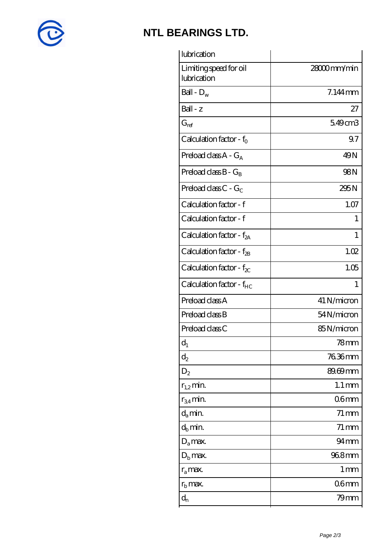

# **[NTL BEARINGS LTD.](https://m.diabetesfriends.net)**

| 28000mm/min<br>Limiting speed for oil<br>lubrication<br>Ball - $D_w$<br>7.144mm<br>Ball - z<br>27<br>549cm3<br>$G_{ref}$<br>Calculation factor - $f_0$<br>9.7<br>Preload class $A - G_A$<br>49N<br><b>98N</b><br>Preload class $B - G_B$<br>Preload class C - $G_C$<br>295N<br>Calculation factor - f<br>1.07<br>Calculation factor - f<br>1<br>Calculation factor - $f_{2A}$<br>1<br>Calculation factor - $f_{\rm 2B}$<br>1.02<br>1.05<br>Calculation factor - $f_{\chi}$<br>Calculation factor - $f_{HC}$<br>$\mathbf{1}$<br>Preload class A<br>41 N/micron<br>Preload class B<br>54N/micron<br>Preload class C<br>85N/micron<br>$d_1$<br>78mm<br>76.36mm<br>$\mathrm{d}_2$<br>89.69mm<br>$D_2$<br>$1.1 \,\mathrm{mm}$<br>$r_{1,2}$ min.<br>06 <sub>mm</sub><br>$r_{34}$ min.<br>$d_a$ min.<br>$71 \,\mathrm{mm}$<br>$d_h$ min.<br>$71 \,\mathrm{mm}$<br>$94 \text{mm}$<br>$D_a$ max.<br>968mm<br>$D_{b}$ max.<br>1 <sub>mm</sub><br>$r_a$ max.<br>06 <sub>mm</sub><br>$r_{\rm b}$ max. | $d_{n}$<br>79mm | lubrication |  |
|-------------------------------------------------------------------------------------------------------------------------------------------------------------------------------------------------------------------------------------------------------------------------------------------------------------------------------------------------------------------------------------------------------------------------------------------------------------------------------------------------------------------------------------------------------------------------------------------------------------------------------------------------------------------------------------------------------------------------------------------------------------------------------------------------------------------------------------------------------------------------------------------------------------------------------------------------------------------------------------------|-----------------|-------------|--|
|                                                                                                                                                                                                                                                                                                                                                                                                                                                                                                                                                                                                                                                                                                                                                                                                                                                                                                                                                                                           |                 |             |  |
|                                                                                                                                                                                                                                                                                                                                                                                                                                                                                                                                                                                                                                                                                                                                                                                                                                                                                                                                                                                           |                 |             |  |
|                                                                                                                                                                                                                                                                                                                                                                                                                                                                                                                                                                                                                                                                                                                                                                                                                                                                                                                                                                                           |                 |             |  |
|                                                                                                                                                                                                                                                                                                                                                                                                                                                                                                                                                                                                                                                                                                                                                                                                                                                                                                                                                                                           |                 |             |  |
|                                                                                                                                                                                                                                                                                                                                                                                                                                                                                                                                                                                                                                                                                                                                                                                                                                                                                                                                                                                           |                 |             |  |
|                                                                                                                                                                                                                                                                                                                                                                                                                                                                                                                                                                                                                                                                                                                                                                                                                                                                                                                                                                                           |                 |             |  |
|                                                                                                                                                                                                                                                                                                                                                                                                                                                                                                                                                                                                                                                                                                                                                                                                                                                                                                                                                                                           |                 |             |  |
|                                                                                                                                                                                                                                                                                                                                                                                                                                                                                                                                                                                                                                                                                                                                                                                                                                                                                                                                                                                           |                 |             |  |
|                                                                                                                                                                                                                                                                                                                                                                                                                                                                                                                                                                                                                                                                                                                                                                                                                                                                                                                                                                                           |                 |             |  |
|                                                                                                                                                                                                                                                                                                                                                                                                                                                                                                                                                                                                                                                                                                                                                                                                                                                                                                                                                                                           |                 |             |  |
|                                                                                                                                                                                                                                                                                                                                                                                                                                                                                                                                                                                                                                                                                                                                                                                                                                                                                                                                                                                           |                 |             |  |
|                                                                                                                                                                                                                                                                                                                                                                                                                                                                                                                                                                                                                                                                                                                                                                                                                                                                                                                                                                                           |                 |             |  |
|                                                                                                                                                                                                                                                                                                                                                                                                                                                                                                                                                                                                                                                                                                                                                                                                                                                                                                                                                                                           |                 |             |  |
|                                                                                                                                                                                                                                                                                                                                                                                                                                                                                                                                                                                                                                                                                                                                                                                                                                                                                                                                                                                           |                 |             |  |
|                                                                                                                                                                                                                                                                                                                                                                                                                                                                                                                                                                                                                                                                                                                                                                                                                                                                                                                                                                                           |                 |             |  |
|                                                                                                                                                                                                                                                                                                                                                                                                                                                                                                                                                                                                                                                                                                                                                                                                                                                                                                                                                                                           |                 |             |  |
|                                                                                                                                                                                                                                                                                                                                                                                                                                                                                                                                                                                                                                                                                                                                                                                                                                                                                                                                                                                           |                 |             |  |
|                                                                                                                                                                                                                                                                                                                                                                                                                                                                                                                                                                                                                                                                                                                                                                                                                                                                                                                                                                                           |                 |             |  |
|                                                                                                                                                                                                                                                                                                                                                                                                                                                                                                                                                                                                                                                                                                                                                                                                                                                                                                                                                                                           |                 |             |  |
|                                                                                                                                                                                                                                                                                                                                                                                                                                                                                                                                                                                                                                                                                                                                                                                                                                                                                                                                                                                           |                 |             |  |
|                                                                                                                                                                                                                                                                                                                                                                                                                                                                                                                                                                                                                                                                                                                                                                                                                                                                                                                                                                                           |                 |             |  |
|                                                                                                                                                                                                                                                                                                                                                                                                                                                                                                                                                                                                                                                                                                                                                                                                                                                                                                                                                                                           |                 |             |  |
|                                                                                                                                                                                                                                                                                                                                                                                                                                                                                                                                                                                                                                                                                                                                                                                                                                                                                                                                                                                           |                 |             |  |
|                                                                                                                                                                                                                                                                                                                                                                                                                                                                                                                                                                                                                                                                                                                                                                                                                                                                                                                                                                                           |                 |             |  |
|                                                                                                                                                                                                                                                                                                                                                                                                                                                                                                                                                                                                                                                                                                                                                                                                                                                                                                                                                                                           |                 |             |  |
|                                                                                                                                                                                                                                                                                                                                                                                                                                                                                                                                                                                                                                                                                                                                                                                                                                                                                                                                                                                           |                 |             |  |
|                                                                                                                                                                                                                                                                                                                                                                                                                                                                                                                                                                                                                                                                                                                                                                                                                                                                                                                                                                                           |                 |             |  |
|                                                                                                                                                                                                                                                                                                                                                                                                                                                                                                                                                                                                                                                                                                                                                                                                                                                                                                                                                                                           |                 |             |  |
|                                                                                                                                                                                                                                                                                                                                                                                                                                                                                                                                                                                                                                                                                                                                                                                                                                                                                                                                                                                           |                 |             |  |